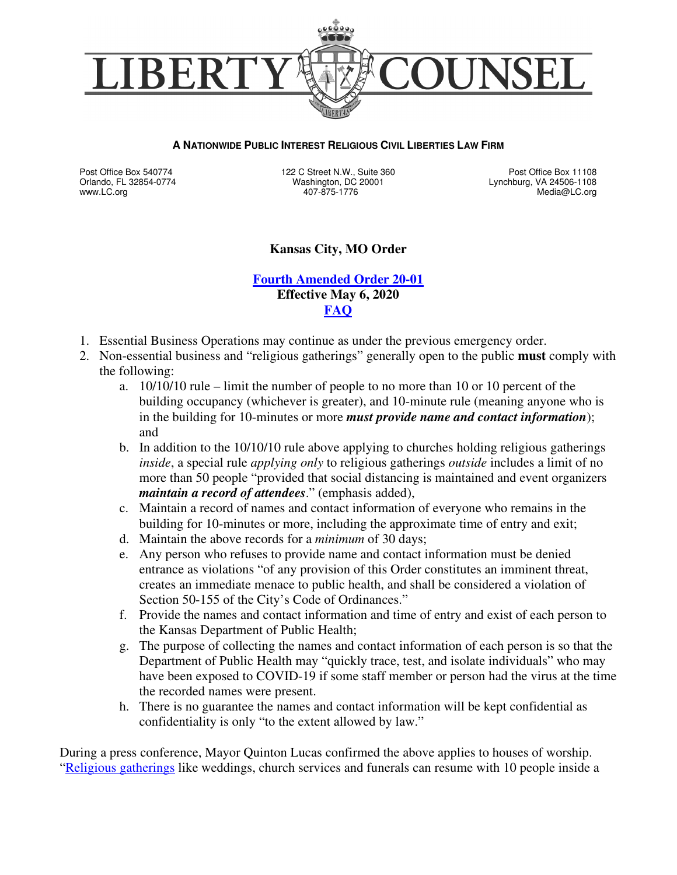

#### **A NATIONWIDE PUBLIC INTEREST RELIGIOUS CIVIL LIBERTIES LAW FIRM**

Post Office Box 540774 Orlando, FL 32854-0774 www.LC.org

122 C Street N.W., Suite 360 Washington, DC 20001 407-875-1776

Post Office Box 11108 Lynchburg, VA 24506-1108 Media@LC.org

### **Kansas City, MO Order**

### **Fourth Amended Order 20-01 Effective May 6, 2020 FAQ**

- 1. Essential Business Operations may continue as under the previous emergency order.
- 2. Non-essential business and "religious gatherings" generally open to the public **must** comply with the following:
	- a. 10/10/10 rule limit the number of people to no more than 10 or 10 percent of the building occupancy (whichever is greater), and 10-minute rule (meaning anyone who is in the building for 10-minutes or more *must provide name and contact information*); and
	- b. In addition to the 10/10/10 rule above applying to churches holding religious gatherings *inside*, a special rule *applying only* to religious gatherings *outside* includes a limit of no more than 50 people "provided that social distancing is maintained and event organizers *maintain a record of attendees*." (emphasis added),
	- c. Maintain a record of names and contact information of everyone who remains in the building for 10-minutes or more, including the approximate time of entry and exit;
	- d. Maintain the above records for a *minimum* of 30 days;
	- e. Any person who refuses to provide name and contact information must be denied entrance as violations "of any provision of this Order constitutes an imminent threat, creates an immediate menace to public health, and shall be considered a violation of Section 50-155 of the City's Code of Ordinances."
	- f. Provide the names and contact information and time of entry and exist of each person to the Kansas Department of Public Health;
	- g. The purpose of collecting the names and contact information of each person is so that the Department of Public Health may "quickly trace, test, and isolate individuals" who may have been exposed to COVID-19 if some staff member or person had the virus at the time the recorded names were present.
	- h. There is no guarantee the names and contact information will be kept confidential as confidentiality is only "to the extent allowed by law."

During a press conference, Mayor Quinton Lucas confirmed the above applies to houses of worship. "Religious gatherings like weddings, church services and funerals can resume with 10 people inside a